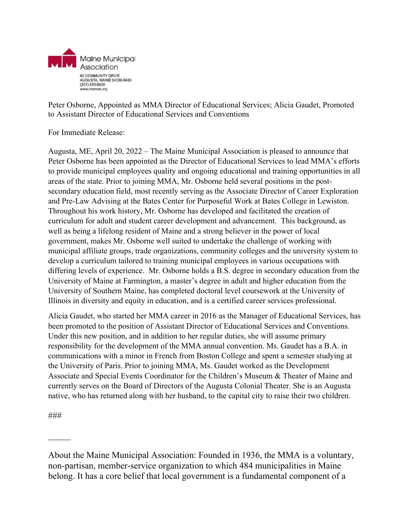

Peter Osborne, Appointed as MMA Director of Educational Services; Alicia Gaudet, Promoted to Assistant Director of Educational Services and Conventions

For Immediate Release:

Augusta, ME, April 20, 2022 – The Maine Municipal Association is pleased to announce that Peter Osborne has been appointed as the Director of Educational Services to lead MMA's efforts to provide municipal employees quality and ongoing educational and training opportunities in all areas of the state. Prior to joining MMA, Mr. Osborne held several positions in the postsecondary education field, most recently serving as the Associate Director of Career Exploration and Pre-Law Advising at the Bates Center for Purposeful Work at Bates College in Lewiston. Throughout his work history, Mr. Osborne has developed and facilitated the creation of curriculum for adult and student career development and advancement. This background, as well as being a lifelong resident of Maine and a strong believer in the power of local government, makes Mr. Osborne well suited to undertake the challenge of working with municipal affiliate groups, trade organizations, community colleges and the university system to develop a curriculum tailored to training municipal employees in various occupations with differing levels of experience. Mr. Osborne holds a B.S. degree in secondary education from the University of Maine at Farmington, a master's degree in adult and higher education from the University of Southern Maine, has completed doctoral level coursework at the University of Illinois in diversity and equity in education, and is a certified career services professional.

Alicia Gaudet, who started her MMA career in 2016 as the Manager of Educational Services, has been promoted to the position of Assistant Director of Educational Services and Conventions. Under this new position, and in addition to her regular duties, she will assume primary responsibility for the development of the MMA annual convention. Ms. Gaudet has a B.A. in communications with a minor in French from Boston College and spent a semester studying at the University of Paris. Prior to joining MMA, Ms. Gaudet worked as the Development Associate and Special Events Coordinator for the Children's Museum & Theater of Maine and currently serves on the Board of Directors of the Augusta Colonial Theater. She is an Augusta native, who has returned along with her husband, to the capital city to raise their two children.

###

 $\mathcal{L}$ 

About the Maine Municipal Association: Founded in 1936, the MMA is a voluntary, non-partisan, member-service organization to which 484 municipalities in Maine belong. It has a core belief that local government is a fundamental component of a